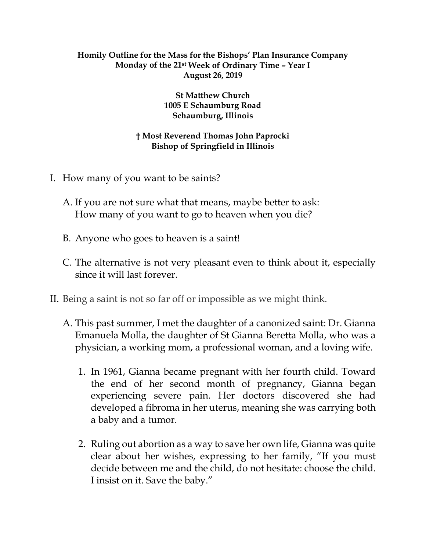## **Homily Outline for the Mass for the Bishops' Plan Insurance Company Monday of the 21st Week of Ordinary Time – Year I August 26, 2019**

**St Matthew Church 1005 E Schaumburg Road Schaumburg, Illinois**

## **† Most Reverend Thomas John Paprocki Bishop of Springfield in Illinois**

- I. How many of you want to be saints?
	- A. If you are not sure what that means, maybe better to ask: How many of you want to go to heaven when you die?
	- B. Anyone who goes to heaven is a saint!
	- C. The alternative is not very pleasant even to think about it, especially since it will last forever.
- II. Being a saint is not so far off or impossible as we might think.
	- A. This past summer, I met the daughter of a canonized saint: Dr. Gianna Emanuela Molla, the daughter of St Gianna Beretta Molla, who was a physician, a working mom, a professional woman, and a loving wife.
		- 1. In 1961, Gianna became pregnant with her fourth child. Toward the end of her second month of pregnancy, Gianna began experiencing severe pain. Her doctors discovered she had developed a fibroma in her uterus, meaning she was carrying both a baby and a tumor.
		- 2. Ruling out abortion as a way to save her own life, Gianna was quite clear about her wishes, expressing to her family, "If you must decide between me and the child, do not hesitate: choose the child. I insist on it. Save the baby."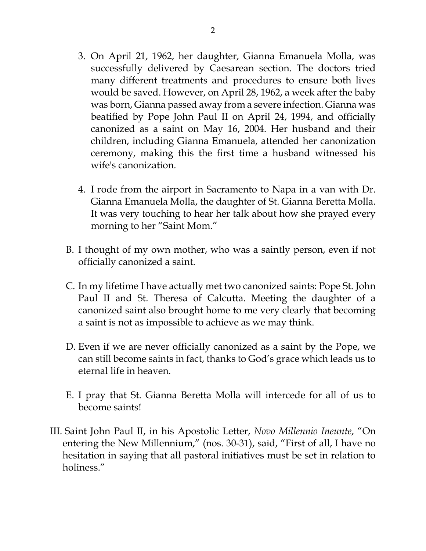- 3. On April 21, 1962, her daughter, Gianna Emanuela Molla, was successfully delivered by Caesarean section. The doctors tried many different treatments and procedures to ensure both lives would be saved. However, on April 28, 1962, a week after the baby was born, Gianna passed away from a severe infection. Gianna was beatified by Pope John Paul II on April 24, 1994, and officially canonized as a saint on May 16, 2004. Her husband and their children, including Gianna Emanuela, attended her canonization ceremony, making this the first time a husband witnessed his wife's canonization.
- 4. I rode from the airport in Sacramento to Napa in a van with Dr. Gianna Emanuela Molla, the daughter of St. Gianna Beretta Molla. It was very touching to hear her talk about how she prayed every morning to her "Saint Mom."
- B. I thought of my own mother, who was a saintly person, even if not officially canonized a saint.
- C. In my lifetime I have actually met two canonized saints: Pope St. John Paul II and St. Theresa of Calcutta. Meeting the daughter of a canonized saint also brought home to me very clearly that becoming a saint is not as impossible to achieve as we may think.
- D. Even if we are never officially canonized as a saint by the Pope, we can still become saints in fact, thanks to God's grace which leads us to eternal life in heaven.
- E. I pray that St. Gianna Beretta Molla will intercede for all of us to become saints!
- III. Saint John Paul II, in his Apostolic Letter, *Novo Millennio Ineunte*, "On entering the New Millennium," (nos. 30-31), said, "First of all, I have no hesitation in saying that all pastoral initiatives must be set in relation to holiness."